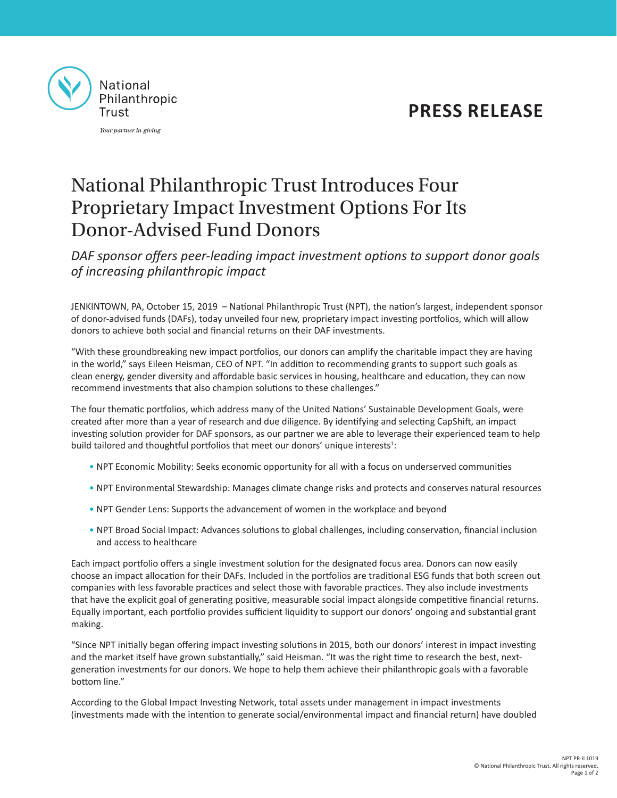## **PRESS RELEASE**



Your partner in giving

# National Philanthropic Trust Introduces Four Proprietary Impact Investment Options For Its Donor-Advised Fund Donors

*DAF sponsor offers peer-leading impact investment options to support donor goals of increasing philanthropic impact*

JENKINTOWN, PA, October 15, 2019 – National Philanthropic Trust (NPT), the nation's largest, independent sponsor of donor-advised funds (DAFs), today unveiled four new, proprietary impact investing portfolios, which will allow donors to achieve both social and financial returns on their DAF investments.

"With these groundbreaking new impact portfolios, our donors can amplify the charitable impact they are having in the world," says Eileen Heisman, CEO of NPT. "In addition to recommending grants to support such goals as clean energy, gender diversity and affordable basic services in housing, healthcare and education, they can now recommend investments that also champion solutions to these challenges."

The four thematic portfolios, which address many of the United Nations' Sustainable Development Goals, were created after more than a year of research and due diligence. By identifying and selecting CapShift, an impact investing solution provider for DAF sponsors, as our partner we are able to leverage their experienced team to help build tailored and thoughtful portfolios that meet our donors' unique interests<sup>1</sup>:

- NPT Economic Mobility: Seeks economic opportunity for all with a focus on underserved communities
- NPT Environmental Stewardship: Manages climate change risks and protects and conserves natural resources
- NPT Gender Lens: Supports the advancement of women in the workplace and beyond
- NPT Broad Social Impact: Advances solutions to global challenges, including conservation, financial inclusion and access to healthcare

Each impact portfolio offers a single investment solution for the designated focus area. Donors can now easily choose an impact allocation for their DAFs. Included in the portfolios are traditional ESG funds that both screen out companies with less favorable practices and select those with favorable practices. They also include investments that have the explicit goal of generating positive, measurable social impact alongside competitive financial returns. Equally important, each portfolio provides sufficient liquidity to support our donors' ongoing and substantial grant making.

"Since NPT initially began offering impact investing solutions in 2015, both our donors' interest in impact investing and the market itself have grown substantially," said Heisman. "It was the right time to research the best, nextgeneration investments for our donors. We hope to help them achieve their philanthropic goals with a favorable bottom line."

According to the Global Impact Investing Network, total assets under management in impact investments (investments made with the intention to generate social/environmental impact and financial return) have doubled